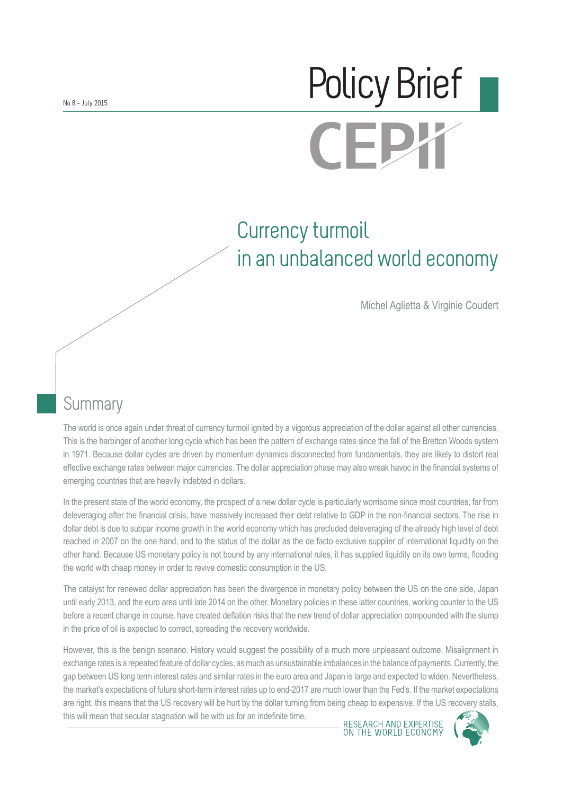# No 8 – July 2015 **CEI**

# Currency turmoil in an unbalanced world economy

Michel Aglietta & Virginie Coudert

# **Summary**

The world is once again under threat of currency turmoil ignited by a vigorous appreciation of the dollar against all other currencies. This is the harbinger of another long cycle which has been the pattern of exchange rates since the fall of the Bretton Woods system in 1971. Because dollar cycles are driven by momentum dynamics disconnected from fundamentals, they are likely to distort real effective exchange rates between major currencies. The dollar appreciation phase may also wreak havoc in the financial systems of emerging countries that are heavily indebted in dollars.

In the present state of the world economy, the prospect of a new dollar cycle is particularly worrisome since most countries, far from deleveraging after the financial crisis, have massively increased their debt relative to GDP in the non-financial sectors. The rise in dollar debt is due to subpar income growth in the world economy which has precluded deleveraging of the already high level of debt reached in 2007 on the one hand, and to the status of the dollar as the de facto exclusive supplier of international liquidity on the other hand. Because US monetary policy is not bound by any international rules, it has supplied liquidity on its own terms, flooding the world with cheap money in order to revive domestic consumption in the US.

The catalyst for renewed dollar appreciation has been the divergence in monetary policy between the US on the one side, Japan until early 2013, and the euro area until late 2014 on the other. Monetary policies in these latter countries, working counter to the US before a recent change in course, have created deflation risks that the new trend of dollar appreciation compounded with the slump in the price of oil is expected to correct, spreading the recovery worldwide.

However, this is the benign scenario. History would suggest the possibility of a much more unpleasant outcome. Misalignment in exchange rates is a repeated feature of dollar cycles, as much as unsustainable imbalances in the balance of payments. Currently, the gap between US long term interest rates and similar rates in the euro area and Japan is large and expected to widen. Nevertheless, the market's expectations of future short-term interest rates up to end-2017 are much lower than the Fed's. If the market expectations are right, this means that the US recovery will be hurt by the dollar turning from being cheap to expensive. If the US recovery stalls, this will mean that secular stagnation will be with us for an indefinite time.

RESEARCH AND EXPERTIS<br>ON THE WORLD ECONOMY

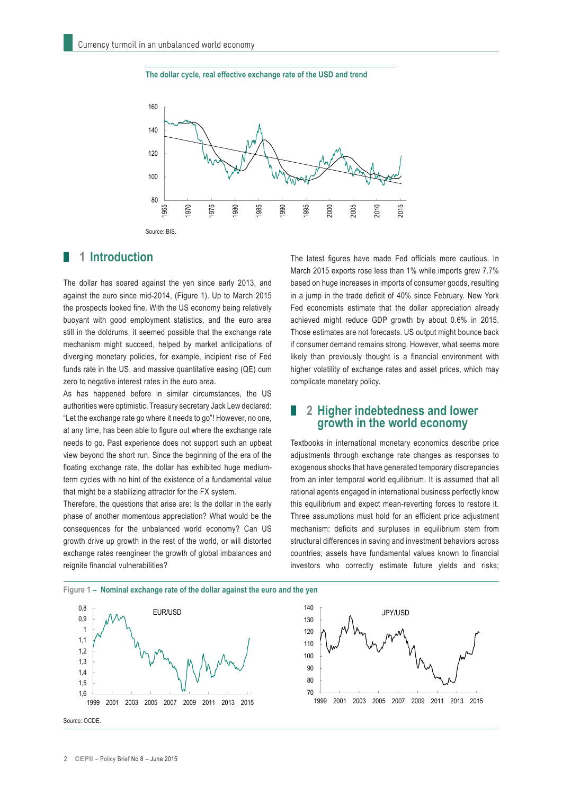



#### **1 Introduction**

The dollar has soared against the yen since early 2013, and against the euro since mid-2014, (Figure 1). Up to March 2015 the prospects looked fine. With the US economy being relatively buoyant with good employment statistics, and the euro area still in the doldrums, it seemed possible that the exchange rate mechanism might succeed, helped by market anticipations of diverging monetary policies, for example, incipient rise of Fed funds rate in the US, and massive quantitative easing (QE) cum zero to negative interest rates in the euro area.

As has happened before in similar circumstances, the US authorities were optimistic. Treasury secretary Jack Lew declared: "Let the exchange rate go where it needs to go"! However, no one, at any time, has been able to figure out where the exchange rate needs to go. Past experience does not support such an upbeat view beyond the short run. Since the beginning of the era of the floating exchange rate, the dollar has exhibited huge mediumterm cycles with no hint of the existence of a fundamental value that might be a stabilizing attractor for the FX system.

Therefore, the questions that arise are: Is the dollar in the early phase of another momentous appreciation? What would be the consequences for the unbalanced world economy? Can US growth drive up growth in the rest of the world, or will distorted exchange rates reengineer the growth of global imbalances and reignite financial vulnerabilities?

The latest figures have made Fed officials more cautious. In March 2015 exports rose less than 1% while imports grew 7.7% based on huge increases in imports of consumer goods, resulting in a jump in the trade deficit of 40% since February. New York Fed economists estimate that the dollar appreciation already achieved might reduce GDP growth by about 0.6% in 2015. Those estimates are not forecasts. US output might bounce back if consumer demand remains strong. However, what seems more likely than previously thought is a financial environment with higher volatility of exchange rates and asset prices, which may complicate monetary policy.

#### **2 Higher indebtedness and lower growth in the world economy**

Textbooks in international monetary economics describe price adjustments through exchange rate changes as responses to exogenous shocks that have generated temporary discrepancies from an inter temporal world equilibrium. It is assumed that all rational agents engaged in international business perfectly know this equilibrium and expect mean-reverting forces to restore it. Three assumptions must hold for an efficient price adjustment mechanism: deficits and surpluses in equilibrium stem from structural differences in saving and investment behaviors across countries; assets have fundamental values known to financial investors who correctly estimate future yields and risks;

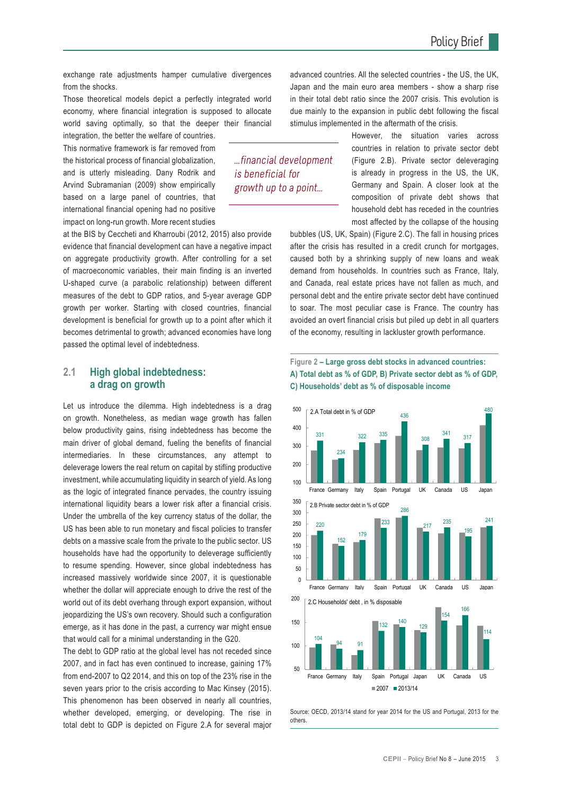exchange rate adjustments hamper cumulative divergences from the shocks.

Those theoretical models depict a perfectly integrated world economy, where financial integration is supposed to allocate world saving optimally, so that the deeper their financial

integration, the better the welfare of countries. This normative framework is far removed from the historical process of financial globalization, and is utterly misleading. Dany Rodrik and Arvind Subramanian (2009) show empirically based on a large panel of countries, that international financial opening had no positive impact on long-run growth. More recent studies

at the BIS by Ceccheti and Kharroubi (2012, 2015) also provide evidence that financial development can have a negative impact on aggregate productivity growth. After controlling for a set of macroeconomic variables, their main finding is an inverted U-shaped curve (a parabolic relationship) between different measures of the debt to GDP ratios, and 5-year average GDP growth per worker. Starting with closed countries, financial development is beneficial for growth up to a point after which it becomes detrimental to growth; advanced economies have long passed the optimal level of indebtedness.

#### **2.1 High global indebtedness: a drag on growth**

Let us introduce the dilemma. High indebtedness is a drag on growth. Nonetheless, as median wage growth has fallen below productivity gains, rising indebtedness has become the main driver of global demand, fueling the benefits of financial intermediaries. In these circumstances, any attempt to deleverage lowers the real return on capital by stifling productive investment, while accumulating liquidity in search of yield. As long as the logic of integrated finance pervades, the country issuing international liquidity bears a lower risk after a financial crisis. Under the umbrella of the key currency status of the dollar, the US has been able to run monetary and fiscal policies to transfer debts on a massive scale from the private to the public sector. US households have had the opportunity to deleverage sufficiently to resume spending. However, since global indebtedness has increased massively worldwide since 2007, it is questionable whether the dollar will appreciate enough to drive the rest of the world out of its debt overhang through export expansion, without jeopardizing the US's own recovery. Should such a configuration emerge, as it has done in the past, a currency war might ensue that would call for a minimal understanding in the G20.

The debt to GDP ratio at the global level has not receded since 2007, and in fact has even continued to increase, gaining 17% from end-2007 to Q2 2014, and this on top of the 23% rise in the seven years prior to the crisis according to Mac Kinsey (2015). This phenomenon has been observed in nearly all countries, whether developed, emerging, or developing. The rise in total debt to GDP is depicted on Figure 2.A for several major

advanced countries. All the selected countries - the US, the UK, Japan and the main euro area members - show a sharp rise in their total debt ratio since the 2007 crisis. This evolution is due mainly to the expansion in public debt following the fiscal stimulus implemented in the aftermath of the crisis.

...financial development

is beneficial for growth up to a point... However, the situation varies across countries in relation to private sector debt (Figure 2.B). Private sector deleveraging is already in progress in the US, the UK, Germany and Spain. A closer look at the composition of private debt shows that household debt has receded in the countries most affected by the collapse of the housing

bubbles (US, UK, Spain) (Figure 2.C). The fall in housing prices after the crisis has resulted in a credit crunch for mortgages, caused both by a shrinking supply of new loans and weak demand from households. In countries such as France, Italy, and Canada, real estate prices have not fallen as much, and personal debt and the entire private sector debt have continued to soar. The most peculiar case is France. The country has avoided an overt financial crisis but piled up debt in all quarters of the economy, resulting in lackluster growth performance.

#### **Figure 2 – Large gross debt stocks in advanced countries: A) Total debt as % of GDP, B) Private sector debt as % of GDP, C) Households' debt as % of disposable income**



Source: OECD, 2013/14 stand for year 2014 for the US and Portugal, 2013 for the others.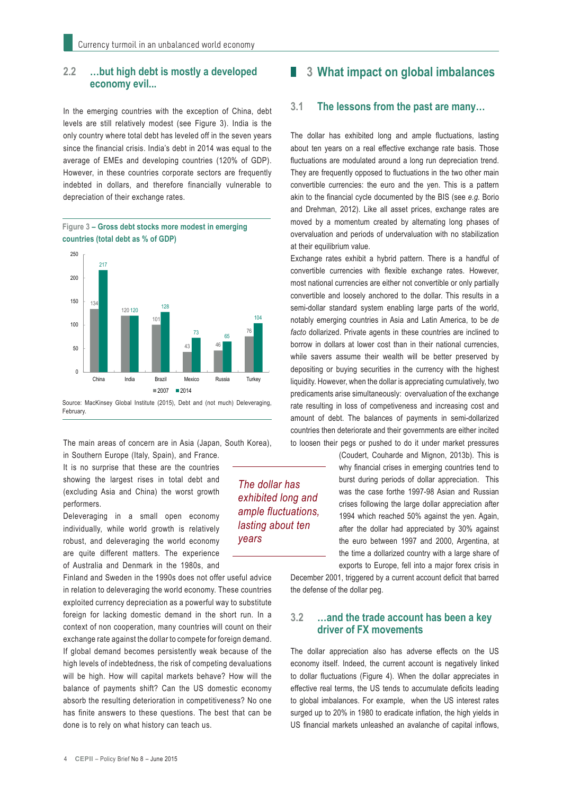#### **2.2 …but high debt is mostly a developed economy evil...**

In the emerging countries with the exception of China, debt levels are still relatively modest (see Figure 3). India is the only country where total debt has leveled off in the seven years since the financial crisis. India's debt in 2014 was equal to the average of EMEs and developing countries (120% of GDP). However, in these countries corporate sectors are frequently indebted in dollars, and therefore financially vulnerable to depreciation of their exchange rates.



**Figure 3 – Gross debt stocks more modest in emerging countries (total debt as % of GDP)**

The main areas of concern are in Asia (Japan, South Korea), in Southern Europe (Italy, Spain), and France.

> *The dollar has exhibited long and ample fluctuations, lasting about ten*

*years*

It is no surprise that these are the countries showing the largest rises in total debt and (excluding Asia and China) the worst growth performers.

Deleveraging in a small open economy individually, while world growth is relatively robust, and deleveraging the world economy are quite different matters. The experience of Australia and Denmark in the 1980s, and

Finland and Sweden in the 1990s does not offer useful advice in relation to deleveraging the world economy. These countries exploited currency depreciation as a powerful way to substitute foreign for lacking domestic demand in the short run. In a context of non cooperation, many countries will count on their exchange rate against the dollar to compete for foreign demand. If global demand becomes persistently weak because of the high levels of indebtedness, the risk of competing devaluations will be high. How will capital markets behave? How will the balance of payments shift? Can the US domestic economy absorb the resulting deterioration in competitiveness? No one has finite answers to these questions. The best that can be done is to rely on what history can teach us.

#### **3 What impact on global imbalances**

#### **3.1 The lessons from the past are many…**

The dollar has exhibited long and ample fluctuations, lasting about ten years on a real effective exchange rate basis. Those fluctuations are modulated around a long run depreciation trend. They are frequently opposed to fluctuations in the two other main convertible currencies: the euro and the yen. This is a pattern akin to the financial cycle documented by the BIS (see *e.g.* Borio and Drehman, 2012). Like all asset prices, exchange rates are moved by a momentum created by alternating long phases of overvaluation and periods of undervaluation with no stabilization at their equilibrium value.

Exchange rates exhibit a hybrid pattern. There is a handful of convertible currencies with flexible exchange rates. However, most national currencies are either not convertible or only partially convertible and loosely anchored to the dollar. This results in a semi-dollar standard system enabling large parts of the world, notably emerging countries in Asia and Latin America, to be *de facto* dollarized. Private agents in these countries are inclined to borrow in dollars at lower cost than in their national currencies, while savers assume their wealth will be better preserved by depositing or buying securities in the currency with the highest liquidity. However, when the dollar is appreciating cumulatively, two predicaments arise simultaneously: overvaluation of the exchange rate resulting in loss of competiveness and increasing cost and amount of debt. The balances of payments in semi-dollarized countries then deteriorate and their governments are either incited to loosen their pegs or pushed to do it under market pressures

> (Coudert, Couharde and Mignon, 2013b). This is why financial crises in emerging countries tend to burst during periods of dollar appreciation. This was the case forthe 1997-98 Asian and Russian crises following the large dollar appreciation after 1994 which reached 50% against the yen. Again, after the dollar had appreciated by 30% against the euro between 1997 and 2000, Argentina, at the time a dollarized country with a large share of exports to Europe, fell into a major forex crisis in

December 2001, triggered by a current account deficit that barred the defense of the dollar peg.

#### **3.2 …and the trade account has been a key driver of FX movements**

The dollar appreciation also has adverse effects on the US economy itself. Indeed, the current account is negatively linked to dollar fluctuations (Figure 4). When the dollar appreciates in effective real terms, the US tends to accumulate deficits leading to global imbalances. For example, when the US interest rates surged up to 20% in 1980 to eradicate inflation, the high yields in US financial markets unleashed an avalanche of capital inflows,

4 **CEPII** – Policy Brief No 8 – June 2015

Source: MacKinsey Global Institute (2015), Debt and (not much) Deleveraging, February.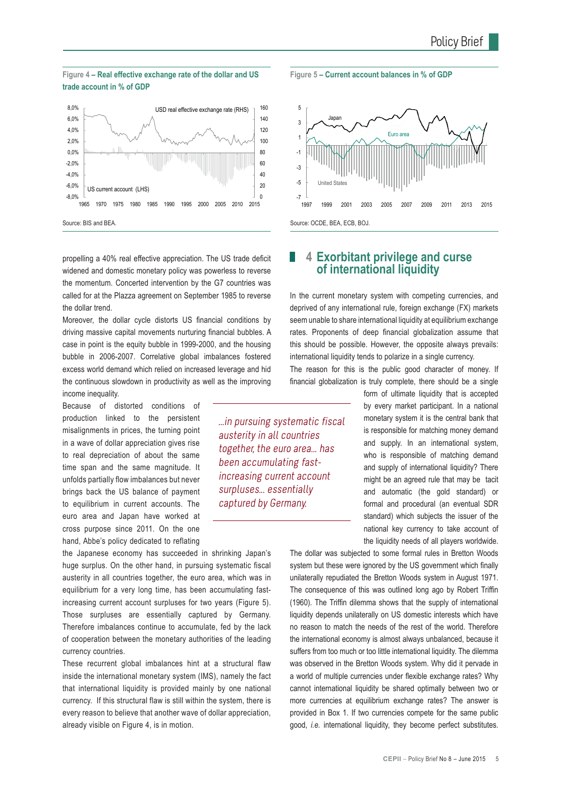#### **Figure 4 – Real effective exchange rate of the dollar and US trade account in % of GDP**



propelling a 40% real effective appreciation. The US trade deficit widened and domestic monetary policy was powerless to reverse the momentum. Concerted intervention by the G7 countries was called for at the Plazza agreement on September 1985 to reverse the dollar trend.

Moreover, the dollar cycle distorts US financial conditions by driving massive capital movements nurturing financial bubbles. A case in point is the equity bubble in 1999-2000, and the housing bubble in 2006-2007. Correlative global imbalances fostered excess world demand which relied on increased leverage and hid the continuous slowdown in productivity as well as the improving income inequality.

Because of distorted conditions of production linked to the persistent misalignments in prices, the turning point in a wave of dollar appreciation gives rise to real depreciation of about the same time span and the same magnitude. It unfolds partially flow imbalances but never brings back the US balance of payment to equilibrium in current accounts. The euro area and Japan have worked at cross purpose since 2011. On the one hand, Abbe's policy dedicated to reflating

the Japanese economy has succeeded in shrinking Japan's huge surplus. On the other hand, in pursuing systematic fiscal austerity in all countries together, the euro area, which was in equilibrium for a very long time, has been accumulating fastincreasing current account surpluses for two years (Figure 5). Those surpluses are essentially captured by Germany. Therefore imbalances continue to accumulate, fed by the lack of cooperation between the monetary authorities of the leading currency countries.

These recurrent global imbalances hint at a structural flaw inside the international monetary system (IMS), namely the fact that international liquidity is provided mainly by one national currency. If this structural flaw is still within the system, there is every reason to believe that another wave of dollar appreciation, already visible on Figure 4, is in motion.

...in pursuing systematic fiscal austerity in all countries together, the euro area... has been accumulating fastincreasing current account surpluses... essentially captured by Germany.

#### **Figure 5 – Current account balances in % of GDP**



#### **4 Exorbitant privilege and curse of international liquidity**

In the current monetary system with competing currencies, and deprived of any international rule, foreign exchange (FX) markets seem unable to share international liquidity at equilibrium exchange rates. Proponents of deep financial globalization assume that this should be possible. However, the opposite always prevails: international liquidity tends to polarize in a single currency.

The reason for this is the public good character of money. If financial globalization is truly complete, there should be a single

> form of ultimate liquidity that is accepted by every market participant. In a national monetary system it is the central bank that is responsible for matching money demand and supply. In an international system, who is responsible of matching demand and supply of international liquidity? There might be an agreed rule that may be tacit and automatic (the gold standard) or formal and procedural (an eventual SDR standard) which subjects the issuer of the national key currency to take account of the liquidity needs of all players worldwide.

The dollar was subjected to some formal rules in Bretton Woods system but these were ignored by the US government which finally unilaterally repudiated the Bretton Woods system in August 1971. The consequence of this was outlined long ago by Robert Triffin (1960). The Triffin dilemma shows that the supply of international liquidity depends unilaterally on US domestic interests which have no reason to match the needs of the rest of the world. Therefore the international economy is almost always unbalanced, because it suffers from too much or too little international liquidity. The dilemma was observed in the Bretton Woods system. Why did it pervade in a world of multiple currencies under flexible exchange rates? Why cannot international liquidity be shared optimally between two or more currencies at equilibrium exchange rates? The answer is provided in Box 1. If two currencies compete for the same public good, *i.e.* international liquidity, they become perfect substitutes.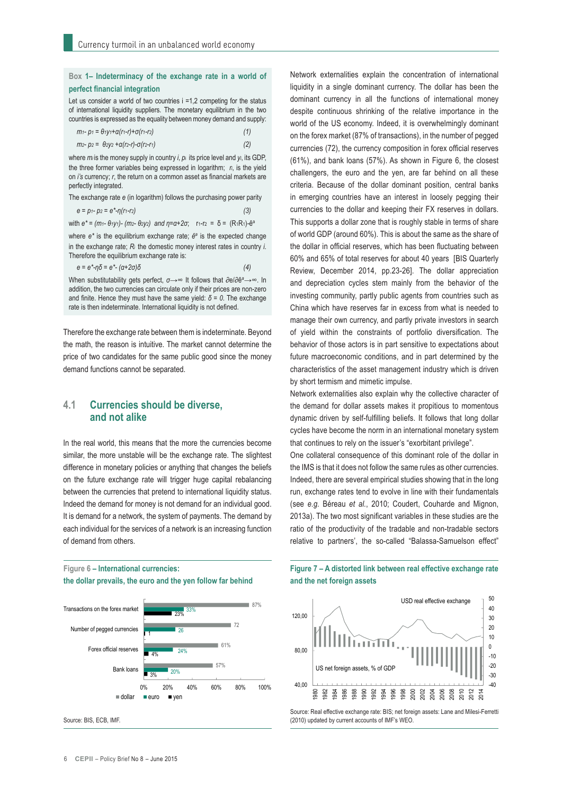#### **Box 1– Indeterminacy of the exchange rate in a world of perfect financial integration**

Let us consider a world of two countries  $i = 1,2$  competing for the status of international liquidity suppliers. The monetary equilibrium in the two countries is expressed as the equality between money demand and supply:

| m1- p1 = θ1y1+α(r1-r)+σ(r1-r2)                                                                                               |  |
|------------------------------------------------------------------------------------------------------------------------------|--|
| $m$ <sub>2</sub> - $p$ <sub>2</sub> = θ <sub>2</sub> y <sub>2</sub> +α(r <sub>2</sub> -r)-σ(r <sub>2</sub> -r <sub>1</sub> ) |  |

where *mi* is the money supply in country *i*, *p*i its price level and *yi*, its GDP, the three former variables being expressed in logarithm; *ri*, is the yield on *i's* currency; *r*, the return on a common asset as financial markets are perfectly integrated.

The exchange rate *e* (in logarithm) follows the purchasing power parity

| $e = p_1 - p_2 = e^* - \eta(r_1 - r_2)$ | (3) |
|-----------------------------------------|-----|
|-----------------------------------------|-----|

|  |  |  | with $e^* = (m_1 - \theta_1 y_1) - (m_2 - \theta_2 y_2)$ and $\eta = \alpha + 2\sigma$ ; r <sub>1</sub> -r <sub>2</sub> = δ = (R <sub>1</sub> R <sub>1</sub> )- $\hat{e}^a$ |  |  |
|--|--|--|-----------------------------------------------------------------------------------------------------------------------------------------------------------------------------|--|--|
|--|--|--|-----------------------------------------------------------------------------------------------------------------------------------------------------------------------------|--|--|

where *e\** is the equilibrium exchange rate; *ê<sup>a</sup>* is the expected change in the exchange rate; *Ri* the domestic money interest rates in country *i*. Therefore the equilibrium exchange rate is:

$$
e = e^* - \eta \delta = e^* - (\alpha + 2\sigma)\delta \tag{4}
$$

When substitutability gets perfect, *σ→∞* It follows that ∂e/∂ê*<sup>a</sup>* →∞. In addition, the two currencies can circulate only if their prices are non-zero and finite. Hence they must have the same yield: *δ = 0*. The exchange rate is then indeterminate. International liquidity is not defined.

Therefore the exchange rate between them is indeterminate. Beyond the math, the reason is intuitive. The market cannot determine the price of two candidates for the same public good since the money demand functions cannot be separated.

#### **4.1 Currencies should be diverse, and not alike**

In the real world, this means that the more the currencies become similar, the more unstable will be the exchange rate. The slightest difference in monetary policies or anything that changes the beliefs on the future exchange rate will trigger huge capital rebalancing between the currencies that pretend to international liquidity status. Indeed the demand for money is not demand for an individual good. It is demand for a network, the system of payments. The demand by each individual for the services of a network is an increasing function of demand from others.

#### **Figure 6 – International currencies: the dollar prevails, the euro and the yen follow far behind**



Source: BIS, ECB, IMF.

Network externalities explain the concentration of international liquidity in a single dominant currency. The dollar has been the dominant currency in all the functions of international money despite continuous shrinking of the relative importance in the world of the US economy. Indeed, it is overwhelmingly dominant on the forex market (87% of transactions), in the number of pegged currencies (72), the currency composition in forex official reserves (61%), and bank loans (57%). As shown in Figure 6, the closest challengers, the euro and the yen, are far behind on all these criteria. Because of the dollar dominant position, central banks in emerging countries have an interest in loosely pegging their currencies to the dollar and keeping their FX reserves in dollars. This supports a dollar zone that is roughly stable in terms of share of world GDP (around 60%). This is about the same as the share of the dollar in official reserves, which has been fluctuating between 60% and 65% of total reserves for about 40 years [BIS Quarterly Review, December 2014, pp.23-26]. The dollar appreciation and depreciation cycles stem mainly from the behavior of the investing community, partly public agents from countries such as China which have reserves far in excess from what is needed to manage their own currency, and partly private investors in search of yield within the constraints of portfolio diversification. The behavior of those actors is in part sensitive to expectations about future macroeconomic conditions, and in part determined by the characteristics of the asset management industry which is driven by short termism and mimetic impulse.

Network externalities also explain why the collective character of the demand for dollar assets makes it propitious to momentous dynamic driven by self-fulfilling beliefs. It follows that long dollar cycles have become the norm in an international monetary system that continues to rely on the issuer's "exorbitant privilege".

One collateral consequence of this dominant role of the dollar in the IMS is that it does not follow the same rules as other currencies. Indeed, there are several empirical studies showing that in the long run, exchange rates tend to evolve in line with their fundamentals (see *e.g.* Béreau *et al.*, 2010; Coudert, Couharde and Mignon, 2013a). The two most significant variables in these studies are the ratio of the productivity of the tradable and non-tradable sectors relative to partners', the so-called "Balassa-Samuelson effect"

**Figure 7 – A distorted link between real effective exchange rate and the net foreign assets**



Source: Real effective exchange rate: BIS; net foreign assets: Lane and Milesi-Ferretti (2010) updated by current accounts of IMF's WEO.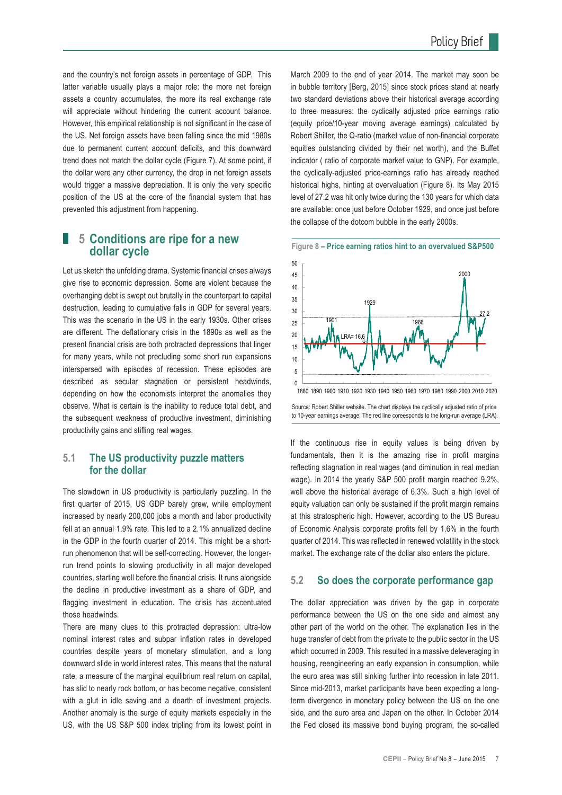and the country's net foreign assets in percentage of GDP. This latter variable usually plays a major role: the more net foreign assets a country accumulates, the more its real exchange rate will appreciate without hindering the current account balance. However, this empirical relationship is not significant in the case of the US. Net foreign assets have been falling since the mid 1980s due to permanent current account deficits, and this downward trend does not match the dollar cycle (Figure 7). At some point, if the dollar were any other currency, the drop in net foreign assets would trigger a massive depreciation. It is only the very specific position of the US at the core of the financial system that has prevented this adjustment from happening.

#### **5 Conditions are ripe for a new dollar cycle**

Let us sketch the unfolding drama. Systemic financial crises always give rise to economic depression. Some are violent because the overhanging debt is swept out brutally in the counterpart to capital destruction, leading to cumulative falls in GDP for several years. This was the scenario in the US in the early 1930s. Other crises are different. The deflationary crisis in the 1890s as well as the present financial crisis are both protracted depressions that linger for many years, while not precluding some short run expansions interspersed with episodes of recession. These episodes are described as secular stagnation or persistent headwinds, depending on how the economists interpret the anomalies they observe. What is certain is the inability to reduce total debt, and the subsequent weakness of productive investment, diminishing productivity gains and stifling real wages.

#### **5.1 The US productivity puzzle matters for the dollar**

The slowdown in US productivity is particularly puzzling. In the first quarter of 2015, US GDP barely grew, while employment increased by nearly 200,000 jobs a month and labor productivity fell at an annual 1.9% rate. This led to a 2.1% annualized decline in the GDP in the fourth quarter of 2014. This might be a shortrun phenomenon that will be self-correcting. However, the longerrun trend points to slowing productivity in all major developed countries, starting well before the financial crisis. It runs alongside the decline in productive investment as a share of GDP, and flagging investment in education. The crisis has accentuated those headwinds.

There are many clues to this protracted depression: ultra-low nominal interest rates and subpar inflation rates in developed countries despite years of monetary stimulation, and a long downward slide in world interest rates. This means that the natural rate, a measure of the marginal equilibrium real return on capital, has slid to nearly rock bottom, or has become negative, consistent with a glut in idle saving and a dearth of investment projects. Another anomaly is the surge of equity markets especially in the US, with the US S&P 500 index tripling from its lowest point in March 2009 to the end of year 2014. The market may soon be in bubble territory [Berg, 2015] since stock prices stand at nearly two standard deviations above their historical average according to three measures: the cyclically adjusted price earnings ratio (equity price/10-year moving average earnings) calculated by Robert Shiller, the Q-ratio (market value of non-financial corporate equities outstanding divided by their net worth), and the Buffet indicator ( ratio of corporate market value to GNP). For example, the cyclically-adjusted price-earnings ratio has already reached historical highs, hinting at overvaluation (Figure 8). Its May 2015 level of 27.2 was hit only twice during the 130 years for which data are available: once just before October 1929, and once just before the collapse of the dotcom bubble in the early 2000s.





1880 1890 1900 1910 1920 1930 1940 1950 1960 1970 1980 1990 2000 2010 2020

Source: Robert Shiller website. The chart displays the cyclically adjusted ratio of price to 10-year earnings average. The red line coreesponds to the long-run average (LRA).

If the continuous rise in equity values is being driven by fundamentals, then it is the amazing rise in profit margins reflecting stagnation in real wages (and diminution in real median wage). In 2014 the yearly S&P 500 profit margin reached 9.2%, well above the historical average of 6.3%. Such a high level of equity valuation can only be sustained if the profit margin remains at this stratospheric high. However, according to the US Bureau of Economic Analysis corporate profits fell by 1.6% in the fourth quarter of 2014. This was reflected in renewed volatility in the stock market. The exchange rate of the dollar also enters the picture.

#### **5.2 So does the corporate performance gap**

The dollar appreciation was driven by the gap in corporate performance between the US on the one side and almost any other part of the world on the other. The explanation lies in the huge transfer of debt from the private to the public sector in the US which occurred in 2009. This resulted in a massive deleveraging in housing, reengineering an early expansion in consumption, while the euro area was still sinking further into recession in late 2011. Since mid-2013, market participants have been expecting a longterm divergence in monetary policy between the US on the one side, and the euro area and Japan on the other. In October 2014 the Fed closed its massive bond buying program, the so-called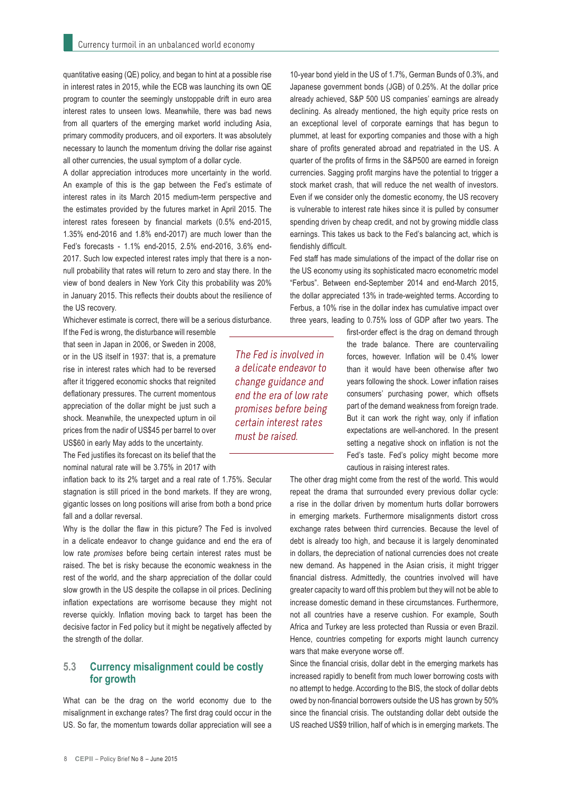quantitative easing (QE) policy, and began to hint at a possible rise in interest rates in 2015, while the ECB was launching its own QE program to counter the seemingly unstoppable drift in euro area interest rates to unseen lows. Meanwhile, there was bad news from all quarters of the emerging market world including Asia, primary commodity producers, and oil exporters. It was absolutely necessary to launch the momentum driving the dollar rise against all other currencies, the usual symptom of a dollar cycle.

A dollar appreciation introduces more uncertainty in the world. An example of this is the gap between the Fed's estimate of interest rates in its March 2015 medium-term perspective and the estimates provided by the futures market in April 2015. The interest rates foreseen by financial markets (0.5% end-2015, 1.35% end-2016 and 1.8% end-2017) are much lower than the Fed's forecasts - 1.1% end-2015, 2.5% end-2016, 3.6% end-2017. Such low expected interest rates imply that there is a nonnull probability that rates will return to zero and stay there. In the view of bond dealers in New York City this probability was 20% in January 2015. This reflects their doubts about the resilience of the US recovery.

Whichever estimate is correct, there will be a serious disturbance.

If the Fed is wrong, the disturbance will resemble that seen in Japan in 2006, or Sweden in 2008, or in the US itself in 1937: that is, a premature rise in interest rates which had to be reversed after it triggered economic shocks that reignited deflationary pressures. The current momentous appreciation of the dollar might be just such a shock. Meanwhile, the unexpected upturn in oil prices from the nadir of US\$45 per barrel to over US\$60 in early May adds to the uncertainty.

The Fed justifies its forecast on its belief that the nominal natural rate will be 3.75% in 2017 with

inflation back to its 2% target and a real rate of 1.75%. Secular stagnation is still priced in the bond markets. If they are wrong, gigantic losses on long positions will arise from both a bond price fall and a dollar reversal.

Why is the dollar the flaw in this picture? The Fed is involved in a delicate endeavor to change guidance and end the era of low rate *promises* before being certain interest rates must be raised. The bet is risky because the economic weakness in the rest of the world, and the sharp appreciation of the dollar could slow growth in the US despite the collapse in oil prices. Declining inflation expectations are worrisome because they might not reverse quickly. Inflation moving back to target has been the decisive factor in Fed policy but it might be negatively affected by the strength of the dollar.

#### **5.3 Currency misalignment could be costly for growth**

What can be the drag on the world economy due to the misalignment in exchange rates? The first drag could occur in the US. So far, the momentum towards dollar appreciation will see a

10-year bond yield in the US of 1.7%, German Bunds of 0.3%, and Japanese government bonds (JGB) of 0.25%. At the dollar price already achieved, S&P 500 US companies' earnings are already declining. As already mentioned, the high equity price rests on an exceptional level of corporate earnings that has begun to plummet, at least for exporting companies and those with a high share of profits generated abroad and repatriated in the US. A quarter of the profits of firms in the S&P500 are earned in foreign currencies. Sagging profit margins have the potential to trigger a stock market crash, that will reduce the net wealth of investors. Even if we consider only the domestic economy, the US recovery is vulnerable to interest rate hikes since it is pulled by consumer spending driven by cheap credit, and not by growing middle class earnings. This takes us back to the Fed's balancing act, which is fiendishly difficult.

Fed staff has made simulations of the impact of the dollar rise on the US economy using its sophisticated macro econometric model "Ferbus". Between end-September 2014 and end-March 2015, the dollar appreciated 13% in trade-weighted terms. According to Ferbus, a 10% rise in the dollar index has cumulative impact over three years, leading to 0.75% loss of GDP after two years. The

> first-order effect is the drag on demand through the trade balance. There are countervailing forces, however. Inflation will be 0.4% lower than it would have been otherwise after two years following the shock. Lower inflation raises consumers' purchasing power, which offsets part of the demand weakness from foreign trade. But it can work the right way, only if inflation expectations are well-anchored. In the present setting a negative shock on inflation is not the Fed's taste. Fed's policy might become more cautious in raising interest rates.

The other drag might come from the rest of the world. This would repeat the drama that surrounded every previous dollar cycle: a rise in the dollar driven by momentum hurts dollar borrowers in emerging markets. Furthermore misalignments distort cross exchange rates between third currencies. Because the level of debt is already too high, and because it is largely denominated in dollars, the depreciation of national currencies does not create new demand. As happened in the Asian crisis, it might trigger financial distress. Admittedly, the countries involved will have greater capacity to ward off this problem but they will not be able to increase domestic demand in these circumstances. Furthermore, not all countries have a reserve cushion. For example, South Africa and Turkey are less protected than Russia or even Brazil. Hence, countries competing for exports might launch currency wars that make everyone worse off.

Since the financial crisis, dollar debt in the emerging markets has increased rapidly to benefit from much lower borrowing costs with no attempt to hedge. According to the BIS, the stock of dollar debts owed by non-financial borrowers outside the US has grown by 50% since the financial crisis. The outstanding dollar debt outside the US reached US\$9 trillion, half of which is in emerging markets. The

The Fed is involved in a delicate endeavor to change guidance and end the era of low rate promises before being certain interest rates must be raised.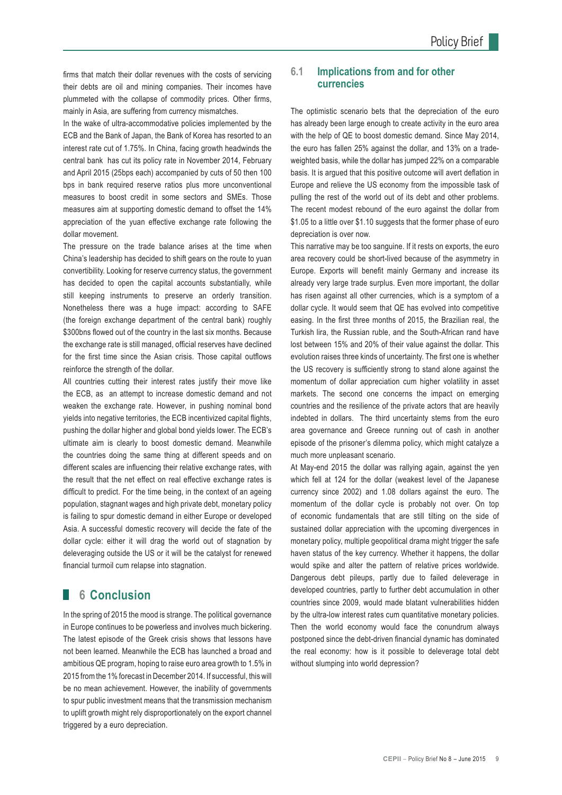firms that match their dollar revenues with the costs of servicing their debts are oil and mining companies. Their incomes have plummeted with the collapse of commodity prices. Other firms, mainly in Asia, are suffering from currency mismatches.

In the wake of ultra-accommodative policies implemented by the ECB and the Bank of Japan, the Bank of Korea has resorted to an interest rate cut of 1.75%. In China, facing growth headwinds the central bank has cut its policy rate in November 2014, February and April 2015 (25bps each) accompanied by cuts of 50 then 100 bps in bank required reserve ratios plus more unconventional measures to boost credit in some sectors and SMEs. Those measures aim at supporting domestic demand to offset the 14% appreciation of the yuan effective exchange rate following the dollar movement.

The pressure on the trade balance arises at the time when China's leadership has decided to shift gears on the route to yuan convertibility. Looking for reserve currency status, the government has decided to open the capital accounts substantially, while still keeping instruments to preserve an orderly transition. Nonetheless there was a huge impact: according to SAFE (the foreign exchange department of the central bank) roughly \$300bns flowed out of the country in the last six months. Because the exchange rate is still managed, official reserves have declined for the first time since the Asian crisis. Those capital outflows reinforce the strength of the dollar.

All countries cutting their interest rates justify their move like the ECB, as an attempt to increase domestic demand and not weaken the exchange rate. However, in pushing nominal bond yields into negative territories, the ECB incentivized capital flights, pushing the dollar higher and global bond yields lower. The ECB's ultimate aim is clearly to boost domestic demand. Meanwhile the countries doing the same thing at different speeds and on different scales are influencing their relative exchange rates, with the result that the net effect on real effective exchange rates is difficult to predict. For the time being, in the context of an ageing population, stagnant wages and high private debt, monetary policy is failing to spur domestic demand in either Europe or developed Asia. A successful domestic recovery will decide the fate of the dollar cycle: either it will drag the world out of stagnation by deleveraging outside the US or it will be the catalyst for renewed financial turmoil cum relapse into stagnation.

### **6 Conclusion**

In the spring of 2015 the mood is strange. The political governance in Europe continues to be powerless and involves much bickering. The latest episode of the Greek crisis shows that lessons have not been learned. Meanwhile the ECB has launched a broad and ambitious QE program, hoping to raise euro area growth to 1.5% in 2015 from the 1% forecast in December 2014. If successful, this will be no mean achievement. However, the inability of governments to spur public investment means that the transmission mechanism to uplift growth might rely disproportionately on the export channel triggered by a euro depreciation.

#### **6.1 Implications from and for other currencies**

The optimistic scenario bets that the depreciation of the euro has already been large enough to create activity in the euro area with the help of QE to boost domestic demand. Since May 2014, the euro has fallen 25% against the dollar, and 13% on a tradeweighted basis, while the dollar has jumped 22% on a comparable basis. It is argued that this positive outcome will avert deflation in Europe and relieve the US economy from the impossible task of pulling the rest of the world out of its debt and other problems. The recent modest rebound of the euro against the dollar from \$1.05 to a little over \$1.10 suggests that the former phase of euro depreciation is over now.

This narrative may be too sanguine. If it rests on exports, the euro area recovery could be short-lived because of the asymmetry in Europe. Exports will benefit mainly Germany and increase its already very large trade surplus. Even more important, the dollar has risen against all other currencies, which is a symptom of a dollar cycle. It would seem that QE has evolved into competitive easing. In the first three months of 2015, the Brazilian real, the Turkish lira, the Russian ruble, and the South-African rand have lost between 15% and 20% of their value against the dollar. This evolution raises three kinds of uncertainty. The first one is whether the US recovery is sufficiently strong to stand alone against the momentum of dollar appreciation cum higher volatility in asset markets. The second one concerns the impact on emerging countries and the resilience of the private actors that are heavily indebted in dollars. The third uncertainty stems from the euro area governance and Greece running out of cash in another episode of the prisoner's dilemma policy, which might catalyze a much more unpleasant scenario.

At May-end 2015 the dollar was rallying again, against the yen which fell at 124 for the dollar (weakest level of the Japanese currency since 2002) and 1.08 dollars against the euro. The momentum of the dollar cycle is probably not over. On top of economic fundamentals that are still tilting on the side of sustained dollar appreciation with the upcoming divergences in monetary policy, multiple geopolitical drama might trigger the safe haven status of the key currency. Whether it happens, the dollar would spike and alter the pattern of relative prices worldwide. Dangerous debt pileups, partly due to failed deleverage in developed countries, partly to further debt accumulation in other countries since 2009, would made blatant vulnerabilities hidden by the ultra-low interest rates cum quantitative monetary policies. Then the world economy would face the conundrum always postponed since the debt-driven financial dynamic has dominated the real economy: how is it possible to deleverage total debt without slumping into world depression?